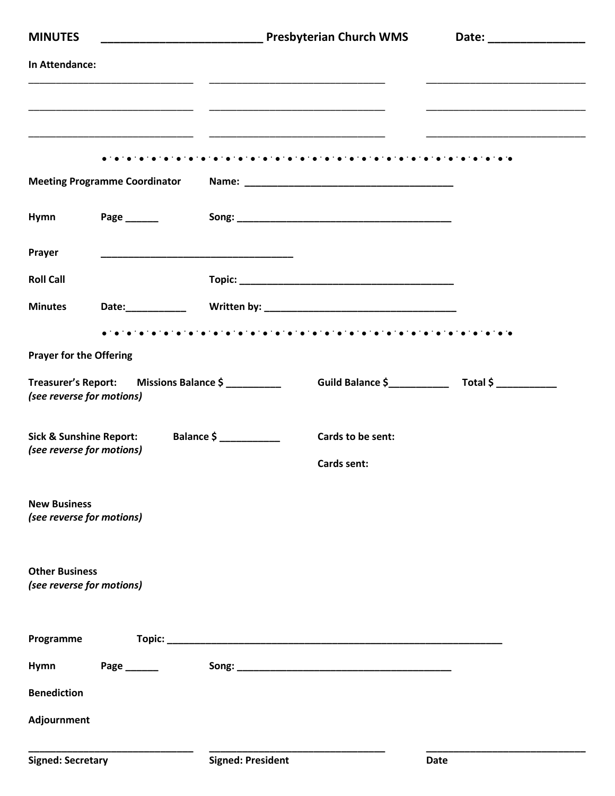| <b>MINUTES</b>                                                  |                                         |            | Presbyterian Church WMS                 |  |
|-----------------------------------------------------------------|-----------------------------------------|------------|-----------------------------------------|--|
| In Attendance:                                                  |                                         |            |                                         |  |
|                                                                 |                                         |            |                                         |  |
|                                                                 |                                         |            |                                         |  |
|                                                                 | <b>Meeting Programme Coordinator</b>    |            |                                         |  |
| Hymn                                                            | Page _______                            |            |                                         |  |
| Prayer                                                          |                                         |            |                                         |  |
| <b>Roll Call</b>                                                |                                         |            |                                         |  |
| <b>Minutes</b>                                                  |                                         |            |                                         |  |
| <b>Prayer for the Offering</b>                                  |                                         |            |                                         |  |
| (see reverse for motions)                                       | Treasurer's Report: Missions Balance \$ |            |                                         |  |
| <b>Sick &amp; Sunshine Report:</b><br>(see reverse for motions) |                                         | Balance \$ | Cards to be sent:<br><b>Cards sent:</b> |  |
| <b>New Business</b><br>(see reverse for motions)                |                                         |            |                                         |  |
| <b>Other Business</b><br>(see reverse for motions)              |                                         |            |                                         |  |
| Programme                                                       |                                         |            |                                         |  |
| Hymn                                                            | Page ________                           |            |                                         |  |
| <b>Benediction</b>                                              |                                         |            |                                         |  |
| Adjournment                                                     |                                         |            |                                         |  |